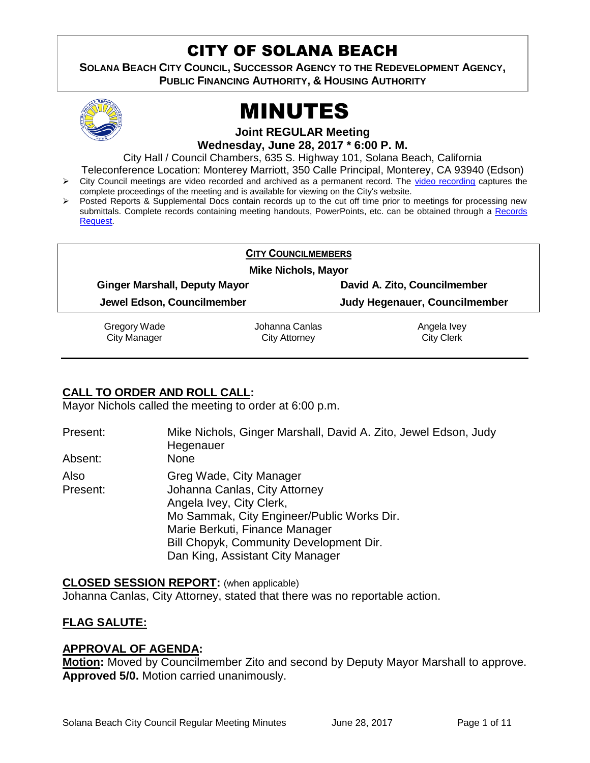# CITY OF SOLANA BEACH

**SOLANA BEACH CITY COUNCIL, SUCCESSOR AGENCY TO THE REDEVELOPMENT AGENCY, PUBLIC FINANCING AUTHORITY, & HOUSING AUTHORITY** 



# MINUTES

**Joint REGULAR Meeting Wednesday, June 28, 2017 \* 6:00 P. M.**

City Hall / Council Chambers, 635 S. Highway 101, Solana Beach, California

Teleconference Location: Monterey Marriott, 350 Calle Principal, Monterey, CA 93940 (Edson)  $\triangleright$  City Council meetings are video recorded and archived as a permanent record. The [video recording](https://solanabeach.12milesout.com/video/meeting/a0660710-9f8f-4e9c-ba55-c31526f0da07) captures the

- complete proceedings of the meeting and is available for viewing on the City's website.
- Posted Reports & Supplemental Docs contain records up to the cut off time prior to meetings for processing new submittals. Complete records containing meeting handouts, PowerPoints, etc. can be obtained through a Records [Request.](http://www.ci.solana-beach.ca.us/index.asp?SEC=F5D45D10-70CE-4291-A27C-7BD633FC6742&Type=B_BASIC)

#### **CITY COUNCILMEMBERS**

**Mike Nichols, Mayor**

**Ginger Marshall, Deputy Mayor David A. Zito, Councilmember**

**Jewel Edson, Councilmember Judy Hegenauer, Councilmember**

Gregory Wade City Manager

Johanna Canlas City Attorney

Angela Ivey City Clerk

# **CALL TO ORDER AND ROLL CALL:**

Mayor Nichols called the meeting to order at 6:00 p.m.

| Present: | Mike Nichols, Ginger Marshall, David A. Zito, Jewel Edson, Judy<br>Hegenauer |
|----------|------------------------------------------------------------------------------|
| Absent:  | None                                                                         |
| Also     | Greg Wade, City Manager                                                      |
| Present: | Johanna Canlas, City Attorney                                                |
|          | Angela Ivey, City Clerk,                                                     |
|          | Mo Sammak, City Engineer/Public Works Dir.                                   |
|          | Marie Berkuti, Finance Manager                                               |
|          | Bill Chopyk, Community Development Dir.                                      |
|          | Dan King, Assistant City Manager                                             |

**CLOSED SESSION REPORT:** (when applicable) Johanna Canlas, City Attorney, stated that there was no reportable action.

# **FLAG SALUTE:**

# **APPROVAL OF AGENDA:**

**Motion:** Moved by Councilmember Zito and second by Deputy Mayor Marshall to approve. **Approved 5/0.** Motion carried unanimously.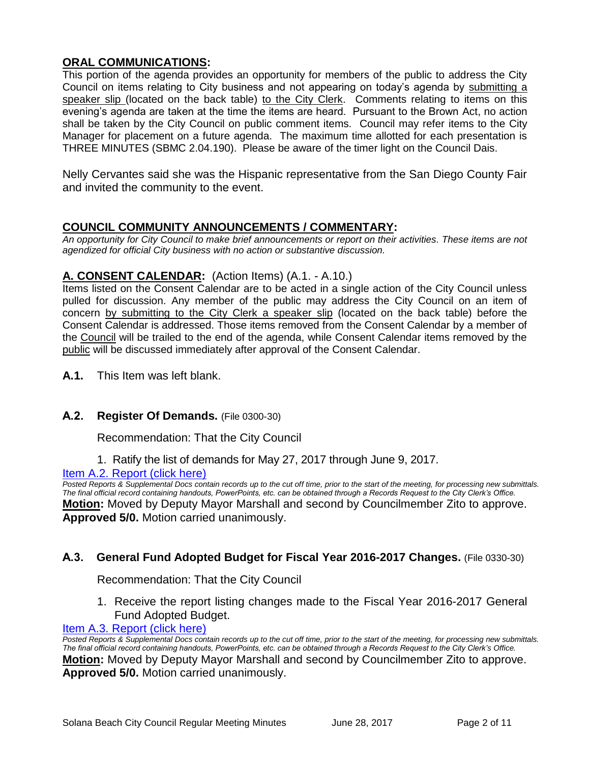# **ORAL COMMUNICATIONS:**

This portion of the agenda provides an opportunity for members of the public to address the City Council on items relating to City business and not appearing on today's agenda by submitting a speaker slip (located on the back table) to the City Clerk. Comments relating to items on this evening's agenda are taken at the time the items are heard. Pursuant to the Brown Act, no action shall be taken by the City Council on public comment items. Council may refer items to the City Manager for placement on a future agenda. The maximum time allotted for each presentation is THREE MINUTES (SBMC 2.04.190). Please be aware of the timer light on the Council Dais.

Nelly Cervantes said she was the Hispanic representative from the San Diego County Fair and invited the community to the event.

# **COUNCIL COMMUNITY ANNOUNCEMENTS / COMMENTARY:**

*An opportunity for City Council to make brief announcements or report on their activities. These items are not agendized for official City business with no action or substantive discussion.* 

# **A. CONSENT CALENDAR:** (Action Items) (A.1. - A.10.)

Items listed on the Consent Calendar are to be acted in a single action of the City Council unless pulled for discussion. Any member of the public may address the City Council on an item of concern by submitting to the City Clerk a speaker slip (located on the back table) before the Consent Calendar is addressed. Those items removed from the Consent Calendar by a member of the Council will be trailed to the end of the agenda, while Consent Calendar items removed by the public will be discussed immediately after approval of the Consent Calendar.

**A.1.** This Item was left blank.

# **A.2. Register Of Demands.** (File 0300-30)

Recommendation: That the City Council

1. Ratify the list of demands for May 27, 2017 through June 9, 2017.

# [Item A.2. Report \(click here\)](https://solanabeach.govoffice3.com/vertical/Sites/%7B840804C2-F869-4904-9AE3-720581350CE7%7D/uploads/Item_A.2_Report_(click_here)_-_6-28-17.PDF)

*Posted Reports & Supplemental Docs contain records up to the cut off time, prior to the start of the meeting, for processing new submittals. The final official record containing handouts, PowerPoints, etc. can be obtained through a Records Request to the City Clerk's Office.* **Motion:** Moved by Deputy Mayor Marshall and second by Councilmember Zito to approve. **Approved 5/0.** Motion carried unanimously.

# **A.3. General Fund Adopted Budget for Fiscal Year 2016-2017 Changes.** (File 0330-30)

Recommendation: That the City Council

1. Receive the report listing changes made to the Fiscal Year 2016-2017 General Fund Adopted Budget.

[Item A.3. Report \(click here\)](https://solanabeach.govoffice3.com/vertical/Sites/%7B840804C2-F869-4904-9AE3-720581350CE7%7D/uploads/Item_A.3_Report_(click_here)_-_6-28-17.PDF)

*Posted Reports & Supplemental Docs contain records up to the cut off time, prior to the start of the meeting, for processing new submittals. The final official record containing handouts, PowerPoints, etc. can be obtained through a Records Request to the City Clerk's Office.* **Motion:** Moved by Deputy Mayor Marshall and second by Councilmember Zito to approve. **Approved 5/0.** Motion carried unanimously.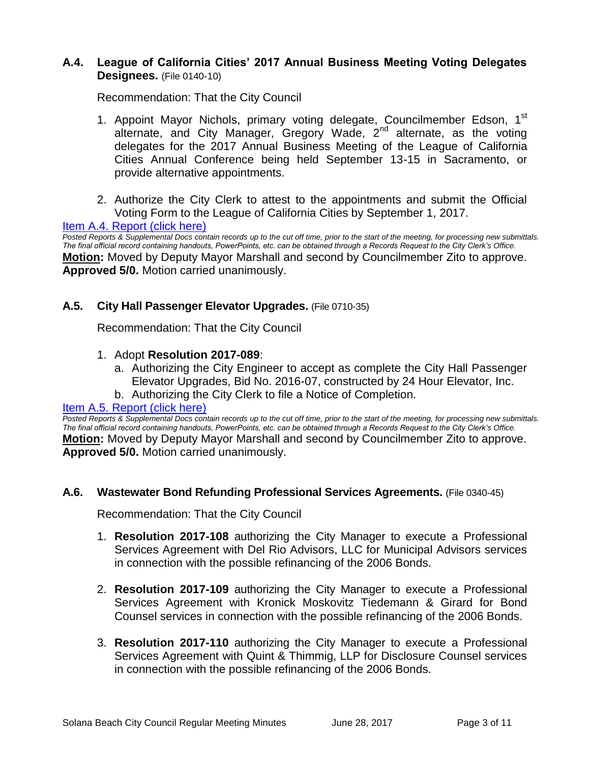# **A.4. League of California Cities' 2017 Annual Business Meeting Voting Delegates Designees.** (File 0140-10)

Recommendation: That the City Council

- 1. Appoint Mayor Nichols, primary voting delegate, Councilmember Edson, 1<sup>st</sup> alternate, and City Manager, Gregory Wade, 2nd alternate, as the voting delegates for the 2017 Annual Business Meeting of the League of California Cities Annual Conference being held September 13-15 in Sacramento, or provide alternative appointments.
- 2. Authorize the City Clerk to attest to the appointments and submit the Official Voting Form to the League of California Cities by September 1, 2017.

[Item A.4. Report \(click here\)](https://solanabeach.govoffice3.com/vertical/Sites/%7B840804C2-F869-4904-9AE3-720581350CE7%7D/uploads/Item_A.4_Report_(click_here)_-_6-28-17.PDF)

*Posted Reports & Supplemental Docs contain records up to the cut off time, prior to the start of the meeting, for processing new submittals. The final official record containing handouts, PowerPoints, etc. can be obtained through a Records Request to the City Clerk's Office.* **Motion:** Moved by Deputy Mayor Marshall and second by Councilmember Zito to approve. **Approved 5/0.** Motion carried unanimously.

# **A.5. City Hall Passenger Elevator Upgrades.** (File 0710-35)

Recommendation: That the City Council

- 1. Adopt **Resolution 2017-089**:
	- a. Authorizing the City Engineer to accept as complete the City Hall Passenger Elevator Upgrades, Bid No. 2016-07, constructed by 24 Hour Elevator, Inc.
	- b. Authorizing the City Clerk to file a Notice of Completion.

#### Item A.5. [Report \(click here\)](https://solanabeach.govoffice3.com/vertical/Sites/%7B840804C2-F869-4904-9AE3-720581350CE7%7D/uploads/Item_A.5_Report_(click_here)_-_6-28-17.PDF)

*Posted Reports & Supplemental Docs contain records up to the cut off time, prior to the start of the meeting, for processing new submittals. The final official record containing handouts, PowerPoints, etc. can be obtained through a Records Request to the City Clerk's Office.* **Motion:** Moved by Deputy Mayor Marshall and second by Councilmember Zito to approve. **Approved 5/0.** Motion carried unanimously.

#### **A.6. Wastewater Bond Refunding Professional Services Agreements.** (File 0340-45)

Recommendation: That the City Council

- 1. **Resolution 2017-108** authorizing the City Manager to execute a Professional Services Agreement with Del Rio Advisors, LLC for Municipal Advisors services in connection with the possible refinancing of the 2006 Bonds.
- 2. **Resolution 2017-109** authorizing the City Manager to execute a Professional Services Agreement with Kronick Moskovitz Tiedemann & Girard for Bond Counsel services in connection with the possible refinancing of the 2006 Bonds.
- 3. **Resolution 2017-110** authorizing the City Manager to execute a Professional Services Agreement with Quint & Thimmig, LLP for Disclosure Counsel services in connection with the possible refinancing of the 2006 Bonds.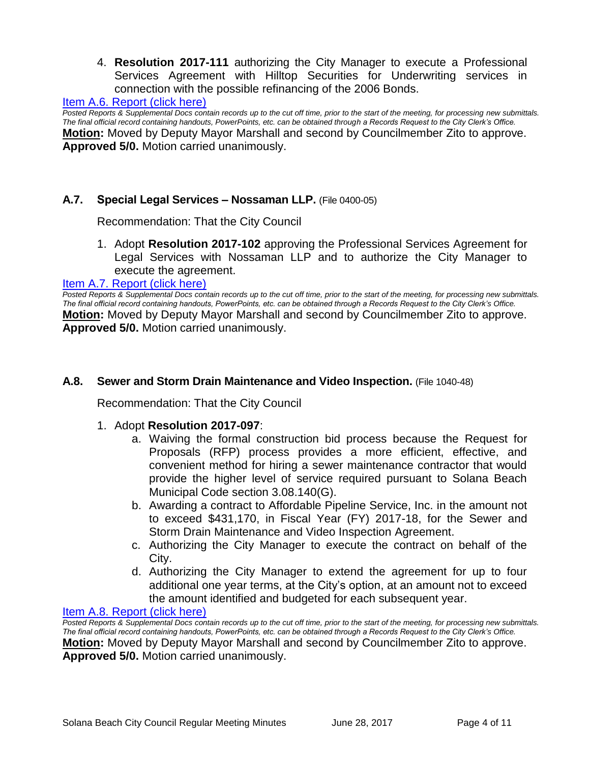4. **Resolution 2017-111** authorizing the City Manager to execute a Professional Services Agreement with Hilltop Securities for Underwriting services in connection with the possible refinancing of the 2006 Bonds.

#### [Item A.6. Report \(click here\)](https://solanabeach.govoffice3.com/vertical/Sites/%7B840804C2-F869-4904-9AE3-720581350CE7%7D/uploads/Item_A.6_Report_(click_here)_-_6-28-17.PDF)

*Posted Reports & Supplemental Docs contain records up to the cut off time, prior to the start of the meeting, for processing new submittals. The final official record containing handouts, PowerPoints, etc. can be obtained through a Records Request to the City Clerk's Office.* **Motion:** Moved by Deputy Mayor Marshall and second by Councilmember Zito to approve. **Approved 5/0.** Motion carried unanimously.

#### **A.7. Special Legal Services – Nossaman LLP.** (File 0400-05)

Recommendation: That the City Council

1. Adopt **Resolution 2017-102** approving the Professional Services Agreement for Legal Services with Nossaman LLP and to authorize the City Manager to execute the agreement.

#### [Item A.7. Report \(click here\)](https://solanabeach.govoffice3.com/vertical/Sites/%7B840804C2-F869-4904-9AE3-720581350CE7%7D/uploads/Item_A.7_Report_(click_here)_-_6-28-17.PDF)

*Posted Reports & Supplemental Docs contain records up to the cut off time, prior to the start of the meeting, for processing new submittals. The final official record containing handouts, PowerPoints, etc. can be obtained through a Records Request to the City Clerk's Office.* **Motion:** Moved by Deputy Mayor Marshall and second by Councilmember Zito to approve. **Approved 5/0.** Motion carried unanimously.

#### **A.8. Sewer and Storm Drain Maintenance and Video Inspection.** (File 1040-48)

Recommendation: That the City Council

#### 1. Adopt **Resolution 2017-097**:

- a. Waiving the formal construction bid process because the Request for Proposals (RFP) process provides a more efficient, effective, and convenient method for hiring a sewer maintenance contractor that would provide the higher level of service required pursuant to Solana Beach Municipal Code section 3.08.140(G).
- b. Awarding a contract to Affordable Pipeline Service, Inc. in the amount not to exceed \$431,170, in Fiscal Year (FY) 2017-18, for the Sewer and Storm Drain Maintenance and Video Inspection Agreement.
- c. Authorizing the City Manager to execute the contract on behalf of the City.
- d. Authorizing the City Manager to extend the agreement for up to four additional one year terms, at the City's option, at an amount not to exceed the amount identified and budgeted for each subsequent year.

#### [Item A.8. Report \(click here\)](https://solanabeach.govoffice3.com/vertical/Sites/%7B840804C2-F869-4904-9AE3-720581350CE7%7D/uploads/Item_A.8_Report_(click_here)_-_6-28-17.PDF)

*Posted Reports & Supplemental Docs contain records up to the cut off time, prior to the start of the meeting, for processing new submittals. The final official record containing handouts, PowerPoints, etc. can be obtained through a Records Request to the City Clerk's Office.* **Motion:** Moved by Deputy Mayor Marshall and second by Councilmember Zito to approve. **Approved 5/0.** Motion carried unanimously.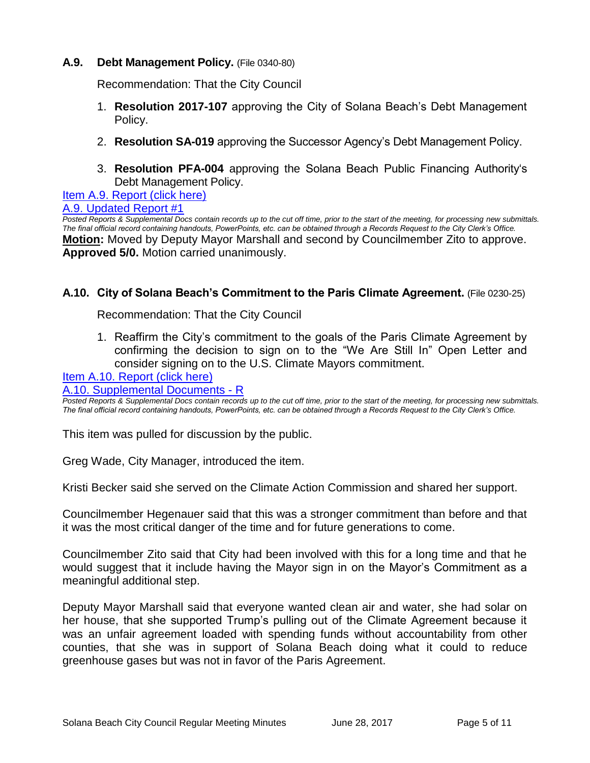# **A.9. Debt Management Policy.** (File 0340-80)

Recommendation: That the City Council

- 1. **Resolution 2017-107** approving the City of Solana Beach's Debt Management Policy.
- 2. **Resolution SA-019** approving the Successor Agency's Debt Management Policy.
- 3. **Resolution PFA-004** approving the Solana Beach Public Financing Authority's Debt Management Policy.

[Item A.9. Report \(click here\)](https://solanabeach.govoffice3.com/vertical/Sites/%7B840804C2-F869-4904-9AE3-720581350CE7%7D/uploads/Item_A.9_Report_(click_here)_-_6-28-17.PDF)

#### [A.9. Updated Report #1](https://solanabeach.govoffice3.com/vertical/Sites/%7B840804C2-F869-4904-9AE3-720581350CE7%7D/uploads/A.9._Updated_Report_1_-_06-28-17.pdf)

*Posted Reports & Supplemental Docs contain records up to the cut off time, prior to the start of the meeting, for processing new submittals. The final official record containing handouts, PowerPoints, etc. can be obtained through a Records Request to the City Clerk's Office.* **Motion:** Moved by Deputy Mayor Marshall and second by Councilmember Zito to approve. **Approved 5/0.** Motion carried unanimously.

#### **A.10. City of Solana Beach's Commitment to the Paris Climate Agreement.** (File 0230-25)

Recommendation: That the City Council

1. Reaffirm the City's commitment to the goals of the Paris Climate Agreement by confirming the decision to sign on to the "We Are Still In" Open Letter and consider signing on to the U.S. Climate Mayors commitment.

[Item A.10. Report \(click here\)](https://solanabeach.govoffice3.com/vertical/Sites/%7B840804C2-F869-4904-9AE3-720581350CE7%7D/uploads/Item_A.10_Report_(click_here)_-_6-28-17.PDF)

#### [A.10. Supplemental Documents -](https://solanabeach.govoffice3.com/vertical/Sites/%7B840804C2-F869-4904-9AE3-720581350CE7%7D/uploads/A.10._Supplemental_Documents_-_R.pdf) R

*Posted Reports & Supplemental Docs contain records up to the cut off time, prior to the start of the meeting, for processing new submittals. The final official record containing handouts, PowerPoints, etc. can be obtained through a Records Request to the City Clerk's Office.*

This item was pulled for discussion by the public.

Greg Wade, City Manager, introduced the item.

Kristi Becker said she served on the Climate Action Commission and shared her support.

Councilmember Hegenauer said that this was a stronger commitment than before and that it was the most critical danger of the time and for future generations to come.

Councilmember Zito said that City had been involved with this for a long time and that he would suggest that it include having the Mayor sign in on the Mayor's Commitment as a meaningful additional step.

Deputy Mayor Marshall said that everyone wanted clean air and water, she had solar on her house, that she supported Trump's pulling out of the Climate Agreement because it was an unfair agreement loaded with spending funds without accountability from other counties, that she was in support of Solana Beach doing what it could to reduce greenhouse gases but was not in favor of the Paris Agreement.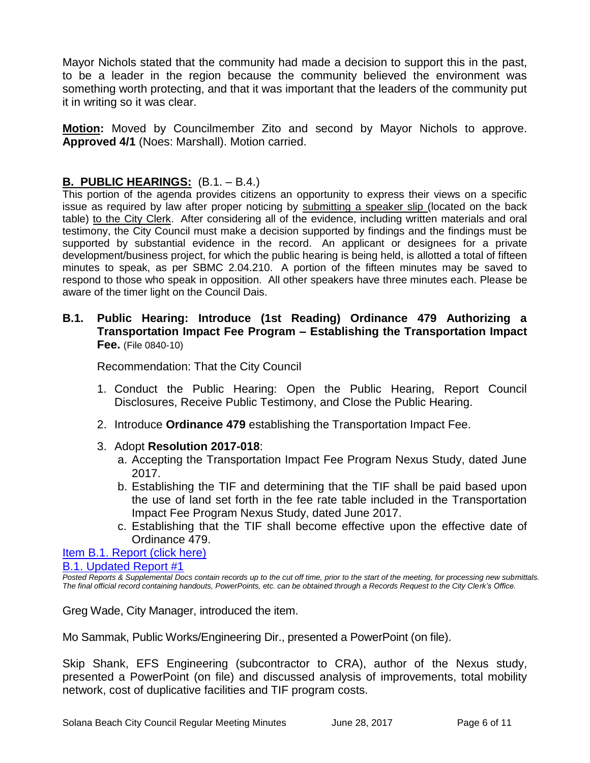Mayor Nichols stated that the community had made a decision to support this in the past, to be a leader in the region because the community believed the environment was something worth protecting, and that it was important that the leaders of the community put it in writing so it was clear.

**Motion:** Moved by Councilmember Zito and second by Mayor Nichols to approve. **Approved 4/1** (Noes: Marshall). Motion carried.

# **B. PUBLIC HEARINGS:** (B.1. – B.4.)

This portion of the agenda provides citizens an opportunity to express their views on a specific issue as required by law after proper noticing by submitting a speaker slip (located on the back table) to the City Clerk. After considering all of the evidence, including written materials and oral testimony, the City Council must make a decision supported by findings and the findings must be supported by substantial evidence in the record. An applicant or designees for a private development/business project, for which the public hearing is being held, is allotted a total of fifteen minutes to speak, as per SBMC 2.04.210. A portion of the fifteen minutes may be saved to respond to those who speak in opposition. All other speakers have three minutes each. Please be aware of the timer light on the Council Dais.

#### **B.1. Public Hearing: Introduce (1st Reading) Ordinance 479 Authorizing a Transportation Impact Fee Program – Establishing the Transportation Impact Fee.** (File 0840-10)

Recommendation: That the City Council

- 1. Conduct the Public Hearing: Open the Public Hearing, Report Council Disclosures, Receive Public Testimony, and Close the Public Hearing.
- 2. Introduce **Ordinance 479** establishing the Transportation Impact Fee.
- 3. Adopt **Resolution 2017-018**:
	- a. Accepting the Transportation Impact Fee Program Nexus Study, dated June 2017.
	- b. Establishing the TIF and determining that the TIF shall be paid based upon the use of land set forth in the fee rate table included in the Transportation Impact Fee Program Nexus Study, dated June 2017.
	- c. Establishing that the TIF shall become effective upon the effective date of Ordinance 479.

[Item B.1. Report \(click here\)](https://solanabeach.govoffice3.com/vertical/Sites/%7B840804C2-F869-4904-9AE3-720581350CE7%7D/uploads/Item_B.1_Report_(click_here)_-_6-28-2017.PDF)  [B.1. Updated Report #1](https://solanabeach.govoffice3.com/vertical/Sites/%7B840804C2-F869-4904-9AE3-720581350CE7%7D/uploads/B.1._Updated_Report_1__-_06-28-17.pdf)

*Posted Reports & Supplemental Docs contain records up to the cut off time, prior to the start of the meeting, for processing new submittals. The final official record containing handouts, PowerPoints, etc. can be obtained through a Records Request to the City Clerk's Office.*

Greg Wade, City Manager, introduced the item.

Mo Sammak, Public Works/Engineering Dir., presented a PowerPoint (on file).

Skip Shank, EFS Engineering (subcontractor to CRA), author of the Nexus study, presented a PowerPoint (on file) and discussed analysis of improvements, total mobility network, cost of duplicative facilities and TIF program costs.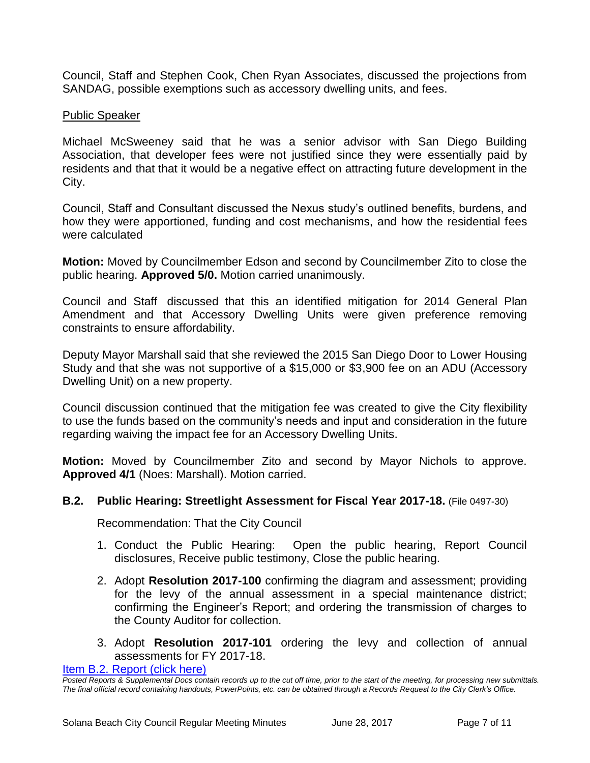Council, Staff and Stephen Cook, Chen Ryan Associates, discussed the projections from SANDAG, possible exemptions such as accessory dwelling units, and fees.

# Public Speaker

Michael McSweeney said that he was a senior advisor with San Diego Building Association, that developer fees were not justified since they were essentially paid by residents and that that it would be a negative effect on attracting future development in the City.

Council, Staff and Consultant discussed the Nexus study's outlined benefits, burdens, and how they were apportioned, funding and cost mechanisms, and how the residential fees were calculated

**Motion:** Moved by Councilmember Edson and second by Councilmember Zito to close the public hearing. **Approved 5/0.** Motion carried unanimously.

Council and Staff discussed that this an identified mitigation for 2014 General Plan Amendment and that Accessory Dwelling Units were given preference removing constraints to ensure affordability.

Deputy Mayor Marshall said that she reviewed the 2015 San Diego Door to Lower Housing Study and that she was not supportive of a \$15,000 or \$3,900 fee on an ADU (Accessory Dwelling Unit) on a new property.

Council discussion continued that the mitigation fee was created to give the City flexibility to use the funds based on the community's needs and input and consideration in the future regarding waiving the impact fee for an Accessory Dwelling Units.

**Motion:** Moved by Councilmember Zito and second by Mayor Nichols to approve. **Approved 4/1** (Noes: Marshall). Motion carried.

# **B.2. Public Hearing: Streetlight Assessment for Fiscal Year 2017-18.** (File 0497-30)

Recommendation: That the City Council

- 1. Conduct the Public Hearing: Open the public hearing, Report Council disclosures, Receive public testimony, Close the public hearing.
- 2. Adopt **Resolution 2017-100** confirming the diagram and assessment; providing for the levy of the annual assessment in a special maintenance district; confirming the Engineer's Report; and ordering the transmission of charges to the County Auditor for collection.
- 3. Adopt **Resolution 2017-101** ordering the levy and collection of annual assessments for FY 2017-18.

[Item B.2. Report \(click here\)](https://solanabeach.govoffice3.com/vertical/Sites/%7B840804C2-F869-4904-9AE3-720581350CE7%7D/uploads/Item_B.2_Report_(click_here)_-_6-28-17.PDF)

*Posted Reports & Supplemental Docs contain records up to the cut off time, prior to the start of the meeting, for processing new submittals. The final official record containing handouts, PowerPoints, etc. can be obtained through a Records Request to the City Clerk's Office.*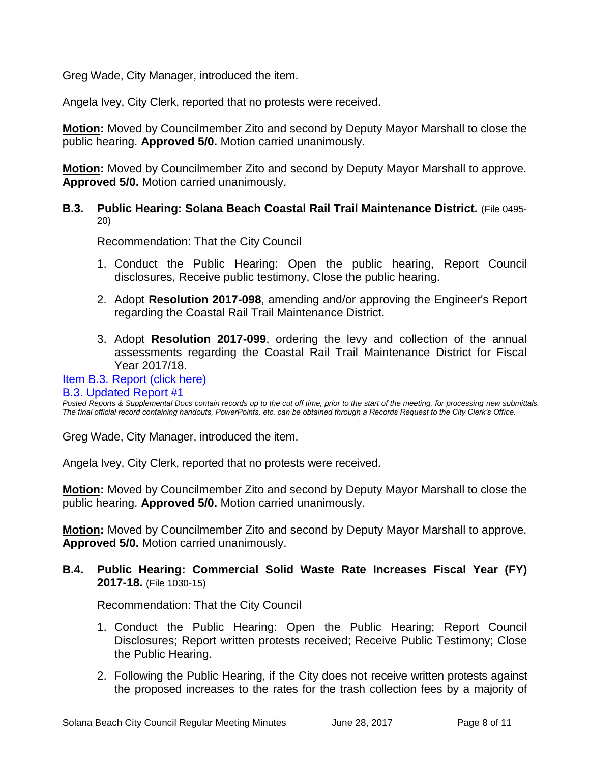Greg Wade, City Manager, introduced the item.

Angela Ivey, City Clerk, reported that no protests were received.

**Motion:** Moved by Councilmember Zito and second by Deputy Mayor Marshall to close the public hearing. **Approved 5/0.** Motion carried unanimously.

**Motion:** Moved by Councilmember Zito and second by Deputy Mayor Marshall to approve. **Approved 5/0.** Motion carried unanimously.

#### **B.3. Public Hearing: Solana Beach Coastal Rail Trail Maintenance District.** (File 0495- 20)

Recommendation: That the City Council

- 1. Conduct the Public Hearing: Open the public hearing, Report Council disclosures, Receive public testimony, Close the public hearing.
- 2. Adopt **Resolution 2017-098**, amending and/or approving the Engineer's Report regarding the Coastal Rail Trail Maintenance District.
- 3. Adopt **Resolution 2017-099**, ordering the levy and collection of the annual assessments regarding the Coastal Rail Trail Maintenance District for Fiscal Year 2017/18.

# [Item B.3. Report \(click here\)](https://solanabeach.govoffice3.com/vertical/Sites/%7B840804C2-F869-4904-9AE3-720581350CE7%7D/uploads/Item_B.3_Report_(click_here)_-_6-28-17.PDF)

# [B.3. Updated Report #1](https://solanabeach.govoffice3.com/vertical/Sites/%7B840804C2-F869-4904-9AE3-720581350CE7%7D/uploads/B.3._Updated_Report_1_-_06-28-17.pdf)

*Posted Reports & Supplemental Docs contain records up to the cut off time, prior to the start of the meeting, for processing new submittals. The final official record containing handouts, PowerPoints, etc. can be obtained through a Records Request to the City Clerk's Office.*

Greg Wade, City Manager, introduced the item.

Angela Ivey, City Clerk, reported that no protests were received.

**Motion:** Moved by Councilmember Zito and second by Deputy Mayor Marshall to close the public hearing. **Approved 5/0.** Motion carried unanimously.

**Motion:** Moved by Councilmember Zito and second by Deputy Mayor Marshall to approve. **Approved 5/0.** Motion carried unanimously.

**B.4. Public Hearing: Commercial Solid Waste Rate Increases Fiscal Year (FY) 2017-18.** (File 1030-15)

Recommendation: That the City Council

- 1. Conduct the Public Hearing: Open the Public Hearing; Report Council Disclosures; Report written protests received; Receive Public Testimony; Close the Public Hearing.
- 2. Following the Public Hearing, if the City does not receive written protests against the proposed increases to the rates for the trash collection fees by a majority of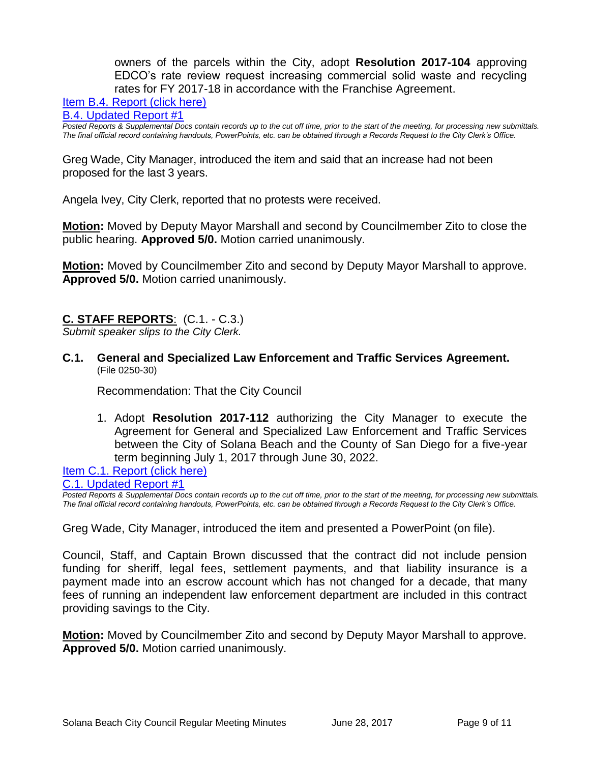owners of the parcels within the City, adopt **Resolution 2017-104** approving EDCO's rate review request increasing commercial solid waste and recycling rates for FY 2017-18 in accordance with the Franchise Agreement.

[Item B.4. Report \(click here\)](https://solanabeach.govoffice3.com/vertical/Sites/%7B840804C2-F869-4904-9AE3-720581350CE7%7D/uploads/Item_B.4_Report_(click_here)_-_6-28-17.PDF)

[B.4. Updated Report #1](https://solanabeach.govoffice3.com/vertical/Sites/%7B840804C2-F869-4904-9AE3-720581350CE7%7D/uploads/B.4._Updated_Report_1_-_06-28-17.pdf)

*Posted Reports & Supplemental Docs contain records up to the cut off time, prior to the start of the meeting, for processing new submittals. The final official record containing handouts, PowerPoints, etc. can be obtained through a Records Request to the City Clerk's Office.*

Greg Wade, City Manager, introduced the item and said that an increase had not been proposed for the last 3 years.

Angela Ivey, City Clerk, reported that no protests were received.

**Motion:** Moved by Deputy Mayor Marshall and second by Councilmember Zito to close the public hearing. **Approved 5/0.** Motion carried unanimously.

**Motion:** Moved by Councilmember Zito and second by Deputy Mayor Marshall to approve. **Approved 5/0.** Motion carried unanimously.

# **C. STAFF REPORTS**: (C.1. - C.3.)

*Submit speaker slips to the City Clerk.*

**C.1. General and Specialized Law Enforcement and Traffic Services Agreement.** (File 0250-30)

Recommendation: That the City Council

1. Adopt **Resolution 2017-112** authorizing the City Manager to execute the Agreement for General and Specialized Law Enforcement and Traffic Services between the City of Solana Beach and the County of San Diego for a five-year term beginning July 1, 2017 through June 30, 2022.

[Item C.1. Report \(click here\)](https://solanabeach.govoffice3.com/vertical/Sites/%7B840804C2-F869-4904-9AE3-720581350CE7%7D/uploads/Item_C.1_Report_(click_here)_-_6-28-17.PDF)

[C.1. Updated Report #1](https://solanabeach.govoffice3.com/vertical/Sites/%7B840804C2-F869-4904-9AE3-720581350CE7%7D/uploads/C.1._Updated_Report_1_-_06-28-17.pdf)

*Posted Reports & Supplemental Docs contain records up to the cut off time, prior to the start of the meeting, for processing new submittals. The final official record containing handouts, PowerPoints, etc. can be obtained through a Records Request to the City Clerk's Office.*

Greg Wade, City Manager, introduced the item and presented a PowerPoint (on file).

Council, Staff, and Captain Brown discussed that the contract did not include pension funding for sheriff, legal fees, settlement payments, and that liability insurance is a payment made into an escrow account which has not changed for a decade, that many fees of running an independent law enforcement department are included in this contract providing savings to the City.

**Motion:** Moved by Councilmember Zito and second by Deputy Mayor Marshall to approve. **Approved 5/0.** Motion carried unanimously.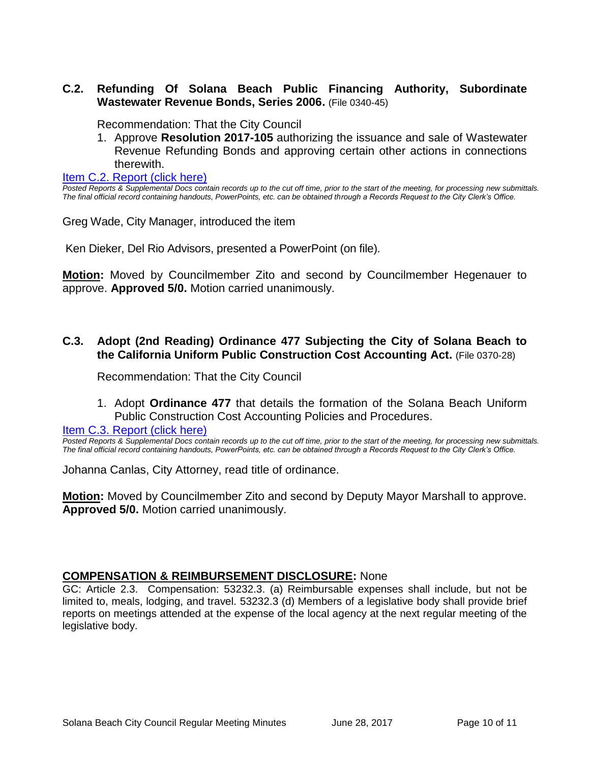### **C.2. Refunding Of Solana Beach Public Financing Authority, Subordinate Wastewater Revenue Bonds, Series 2006.** (File 0340-45)

Recommendation: That the City Council

1. Approve **Resolution 2017-105** authorizing the issuance and sale of Wastewater Revenue Refunding Bonds and approving certain other actions in connections therewith.

[Item C.2. Report \(click here\)](https://solanabeach.govoffice3.com/vertical/Sites/%7B840804C2-F869-4904-9AE3-720581350CE7%7D/uploads/Item_C.2_Report_(click_here)_-_6-28-17.PDF)

*Posted Reports & Supplemental Docs contain records up to the cut off time, prior to the start of the meeting, for processing new submittals. The final official record containing handouts, PowerPoints, etc. can be obtained through a Records Request to the City Clerk's Office.*

Greg Wade, City Manager, introduced the item

Ken Dieker, Del Rio Advisors, presented a PowerPoint (on file).

**Motion:** Moved by Councilmember Zito and second by Councilmember Hegenauer to approve. **Approved 5/0.** Motion carried unanimously.

#### **C.3. Adopt (2nd Reading) Ordinance 477 Subjecting the City of Solana Beach to the California Uniform Public Construction Cost Accounting Act.** (File 0370-28)

Recommendation: That the City Council

1. Adopt **Ordinance 477** that details the formation of the Solana Beach Uniform Public Construction Cost Accounting Policies and Procedures.

[Item C.3. Report \(click here\)](https://solanabeach.govoffice3.com/vertical/Sites/%7B840804C2-F869-4904-9AE3-720581350CE7%7D/uploads/Item_C.3_Report_(click_here)_-_6-28-17.PDF)

*Posted Reports & Supplemental Docs contain records up to the cut off time, prior to the start of the meeting, for processing new submittals. The final official record containing handouts, PowerPoints, etc. can be obtained through a Records Request to the City Clerk's Office.*

Johanna Canlas, City Attorney, read title of ordinance.

**Motion:** Moved by Councilmember Zito and second by Deputy Mayor Marshall to approve. **Approved 5/0.** Motion carried unanimously.

#### **COMPENSATION & REIMBURSEMENT DISCLOSURE:** None

GC: Article 2.3. Compensation: 53232.3. (a) Reimbursable expenses shall include, but not be limited to, meals, lodging, and travel. 53232.3 (d) Members of a legislative body shall provide brief reports on meetings attended at the expense of the local agency at the next regular meeting of the legislative body.